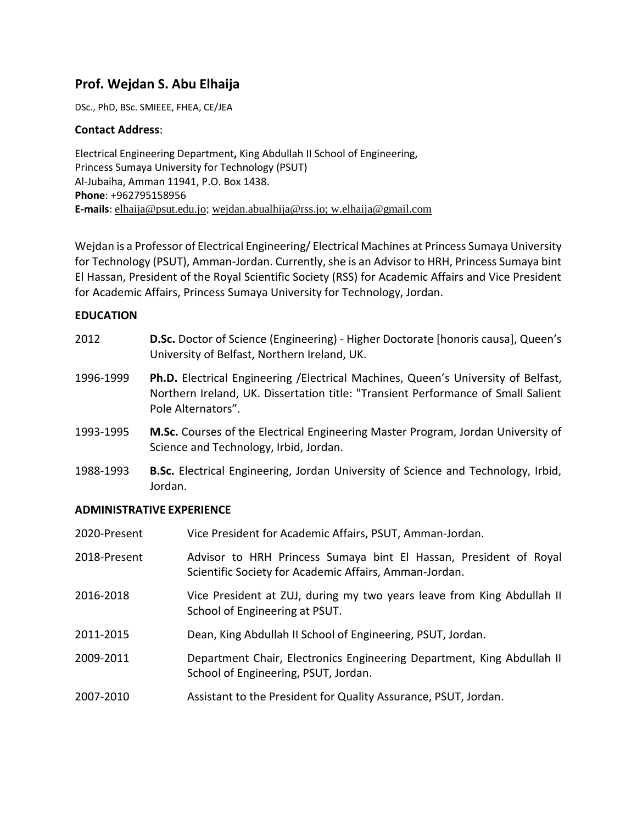# **Prof. Wejdan S. Abu Elhaija**

DSc., PhD, BSc. SMIEEE, FHEA, CE/JEA

## **Contact Address**:

Electrical Engineering Department**,** King Abdullah II School of Engineering, Princess Sumaya University for Technology (PSUT) Al-Jubaiha, Amman 11941, P.O. Box 1438. **Phone**: +962795158956 **E-mails**: [elhaija@psut.edu.jo;](mailto:elhaija@psut.edu.jo) [wejdan.abualhija@rss.jo;](mailto:wejdan.abualhija@rss.jo) w.elhaija@gmail.com

Wejdan is a Professor of Electrical Engineering/ Electrical Machines at Princess Sumaya University for Technology (PSUT), Amman-Jordan. Currently, she is an Advisor to HRH, Princess Sumaya bint El Hassan, President of the Royal Scientific Society (RSS) for Academic Affairs and Vice President for Academic Affairs, Princess Sumaya University for Technology, Jordan.

## **EDUCATION**

- 2012 **D.Sc.** Doctor of Science (Engineering) Higher Doctorate [honoris causa], Queen's University of Belfast, Northern Ireland, UK.
- 1996-1999 **Ph.D.** Electrical Engineering /Electrical Machines, Queen's University of Belfast, Northern Ireland, UK. Dissertation title: "Transient Performance of Small Salient Pole Alternators".
- 1993-1995 **M.Sc.** Courses of the Electrical Engineering Master Program, Jordan University of Science and Technology, Irbid, Jordan.
- 1988-1993 **B.Sc.** Electrical Engineering, Jordan University of Science and Technology, Irbid, Jordan.

## **ADMINISTRATIVE EXPERIENCE**

| 2020-Present | Vice President for Academic Affairs, PSUT, Amman-Jordan.                                                                    |
|--------------|-----------------------------------------------------------------------------------------------------------------------------|
| 2018-Present | Advisor to HRH Princess Sumaya bint El Hassan, President of Royal<br>Scientific Society for Academic Affairs, Amman-Jordan. |
| 2016-2018    | Vice President at ZUJ, during my two years leave from King Abdullah II<br>School of Engineering at PSUT.                    |
| 2011-2015    | Dean, King Abdullah II School of Engineering, PSUT, Jordan.                                                                 |
| 2009-2011    | Department Chair, Electronics Engineering Department, King Abdullah II<br>School of Engineering, PSUT, Jordan.              |
| 2007-2010    | Assistant to the President for Quality Assurance, PSUT, Jordan.                                                             |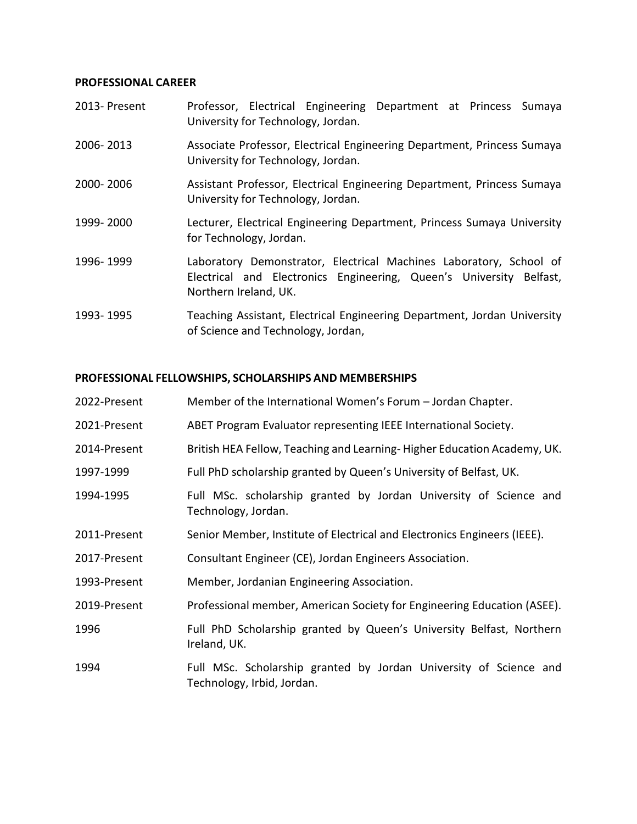### **PROFESSIONAL CAREER**

| 2013- Present | Professor, Electrical Engineering Department at Princess Sumaya<br>University for Technology, Jordan.                                                              |
|---------------|--------------------------------------------------------------------------------------------------------------------------------------------------------------------|
| 2006-2013     | Associate Professor, Electrical Engineering Department, Princess Sumaya<br>University for Technology, Jordan.                                                      |
| 2000-2006     | Assistant Professor, Electrical Engineering Department, Princess Sumaya<br>University for Technology, Jordan.                                                      |
| 1999-2000     | Lecturer, Electrical Engineering Department, Princess Sumaya University<br>for Technology, Jordan.                                                                 |
| 1996-1999     | Laboratory Demonstrator, Electrical Machines Laboratory, School of<br>Electrical and Electronics Engineering, Queen's University Belfast,<br>Northern Ireland, UK. |
| 1993-1995     | Teaching Assistant, Electrical Engineering Department, Jordan University<br>of Science and Technology, Jordan,                                                     |

## **PROFESSIONAL FELLOWSHIPS, SCHOLARSHIPS AND MEMBERSHIPS**

| 2022-Present | Member of the International Women's Forum – Jordan Chapter. |  |  |
|--------------|-------------------------------------------------------------|--|--|
|--------------|-------------------------------------------------------------|--|--|

- 2021-Present ABET Program Evaluator representing IEEE International Society.
- 2014-Present British HEA Fellow, Teaching and Learning- Higher Education Academy, UK.
- 1997-1999 Full PhD scholarship granted by Queen's University of Belfast, UK.
- 1994-1995 Full MSc. scholarship granted by Jordan University of Science and Technology, Jordan.
- 2011-Present Senior Member, Institute of Electrical and Electronics Engineers (IEEE).
- 2017-Present Consultant Engineer (CE), Jordan Engineers Association.
- 1993-Present Member, Jordanian Engineering Association.
- 2019-Present Professional member, American Society for Engineering Education (ASEE).
- 1996 Full PhD Scholarship granted by Queen's University Belfast, Northern Ireland, UK.
- 1994 Full MSc. Scholarship granted by Jordan University of Science and Technology, Irbid, Jordan.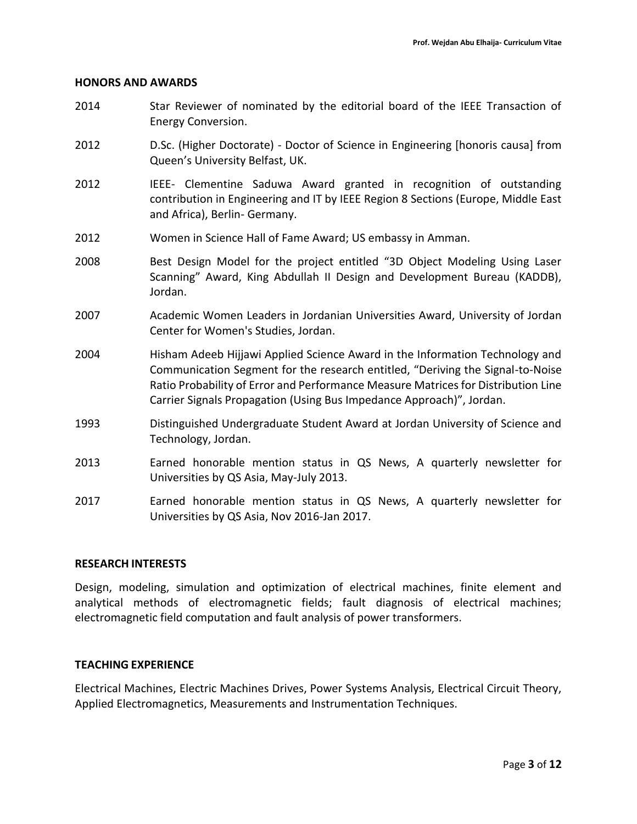#### **HONORS AND AWARDS**

- 2014 Star Reviewer of nominated by the editorial board of the IEEE Transaction of Energy Conversion.
- 2012 D.Sc. (Higher Doctorate) Doctor of Science in Engineering [honoris causa] from Queen's University Belfast, UK.
- 2012 IEEE- Clementine Saduwa Award granted in recognition of outstanding contribution in Engineering and IT by IEEE Region 8 Sections (Europe, Middle East and Africa), Berlin- Germany.
- 2012 Women in Science Hall of Fame Award; US embassy in Amman.
- 2008 Best Design Model for the project entitled "3D Object Modeling Using Laser Scanning" Award, King Abdullah II Design and Development Bureau (KADDB), Jordan.
- 2007 Academic Women Leaders in Jordanian Universities Award, University of Jordan Center for Women's Studies, Jordan.
- 2004 Hisham Adeeb Hijjawi Applied Science Award in the Information Technology and Communication Segment for the research entitled, "Deriving the Signal-to-Noise Ratio Probability of Error and Performance Measure Matrices for Distribution Line Carrier Signals Propagation (Using Bus Impedance Approach)", Jordan.
- 1993 Distinguished Undergraduate Student Award at Jordan University of Science and Technology, Jordan.
- 2013 Earned honorable mention status in QS News, A quarterly newsletter for Universities by QS Asia, May-July 2013.
- 2017 Earned honorable mention status in QS News, A quarterly newsletter for Universities by QS Asia, Nov 2016-Jan 2017.

### **RESEARCH INTERESTS**

Design, modeling, simulation and optimization of electrical machines, finite element and analytical methods of electromagnetic fields; fault diagnosis of electrical machines; electromagnetic field computation and fault analysis of power transformers.

### **TEACHING EXPERIENCE**

Electrical Machines, Electric Machines Drives, Power Systems Analysis, Electrical Circuit Theory, Applied Electromagnetics, Measurements and Instrumentation Techniques.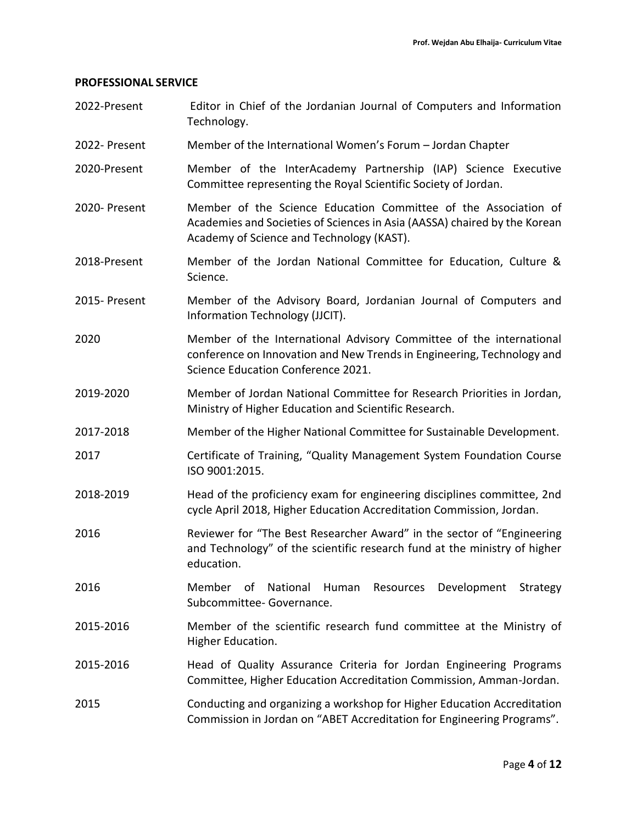#### **PROFESSIONAL SERVICE**

- 2022-Present Editor in Chief of the Jordanian Journal of Computers and Information Technology.
- 2022- Present Member of the International Women's Forum Jordan Chapter
- 2020-Present Member of the InterAcademy Partnership (IAP) Science Executive Committee representing the Royal Scientific Society of Jordan.
- 2020- Present Member of the Science Education Committee of the Association of Academies and Societies of Sciences in Asia (AASSA) chaired by the Korean Academy of Science and Technology (KAST).
- 2018-Present Member of the Jordan National Committee for Education, Culture & Science.
- 2015- Present Member of the Advisory Board, Jordanian Journal of Computers and Information Technology (JJCIT).
- 2020 Member of the International Advisory Committee of the international conference on Innovation and New Trends in Engineering, Technology and Science Education Conference 2021.
- 2019-2020 Member of Jordan National Committee for Research Priorities in Jordan, Ministry of Higher Education and Scientific Research.
- 2017-2018 Member of the Higher National Committee for Sustainable Development.
- 2017 Certificate of Training, "Quality Management System Foundation Course ISO 9001:2015.
- 2018-2019 Head of the proficiency exam for engineering disciplines committee, 2nd cycle April 2018, Higher Education Accreditation Commission, Jordan.
- 2016 Reviewer for "The Best Researcher Award" in the sector of "Engineering and Technology" of the scientific research fund at the ministry of higher education.
- 2016 Member of National Human Resources Development Strategy Subcommittee- Governance.
- 2015-2016 Member of the scientific research fund committee at the Ministry of Higher Education.
- 2015-2016 Head of Quality Assurance Criteria for Jordan Engineering Programs Committee, Higher Education Accreditation Commission, Amman-Jordan.
- 2015 Conducting and organizing a workshop for Higher Education Accreditation Commission in Jordan on "ABET Accreditation for Engineering Programs".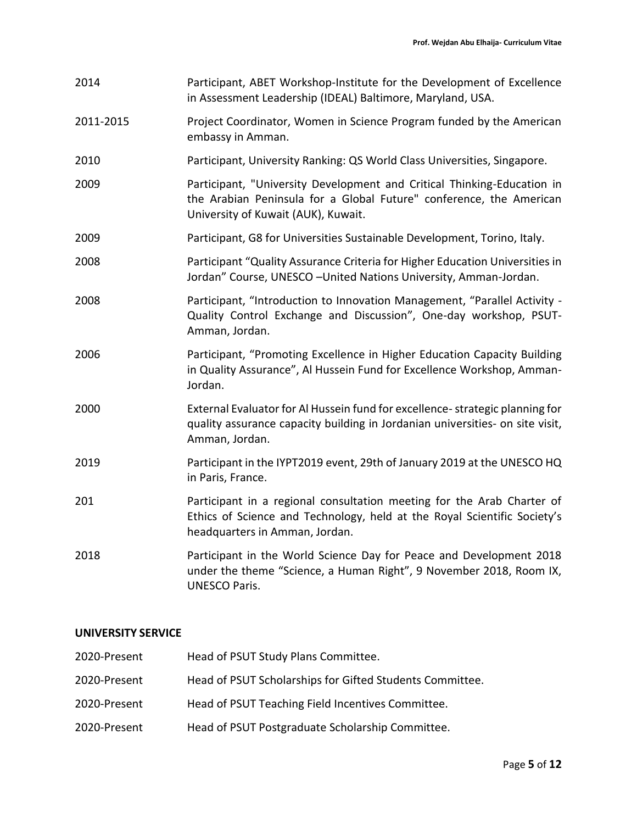| 2014      | Participant, ABET Workshop-Institute for the Development of Excellence<br>in Assessment Leadership (IDEAL) Baltimore, Maryland, USA.                                                  |
|-----------|---------------------------------------------------------------------------------------------------------------------------------------------------------------------------------------|
| 2011-2015 | Project Coordinator, Women in Science Program funded by the American<br>embassy in Amman.                                                                                             |
| 2010      | Participant, University Ranking: QS World Class Universities, Singapore.                                                                                                              |
| 2009      | Participant, "University Development and Critical Thinking-Education in<br>the Arabian Peninsula for a Global Future" conference, the American<br>University of Kuwait (AUK), Kuwait. |
| 2009      | Participant, G8 for Universities Sustainable Development, Torino, Italy.                                                                                                              |
| 2008      | Participant "Quality Assurance Criteria for Higher Education Universities in<br>Jordan" Course, UNESCO-United Nations University, Amman-Jordan.                                       |
| 2008      | Participant, "Introduction to Innovation Management, "Parallel Activity -<br>Quality Control Exchange and Discussion", One-day workshop, PSUT-<br>Amman, Jordan.                      |
| 2006      | Participant, "Promoting Excellence in Higher Education Capacity Building<br>in Quality Assurance", Al Hussein Fund for Excellence Workshop, Amman-<br>Jordan.                         |
| 2000      | External Evaluator for Al Hussein fund for excellence-strategic planning for<br>quality assurance capacity building in Jordanian universities- on site visit,<br>Amman, Jordan.       |
| 2019      | Participant in the IYPT2019 event, 29th of January 2019 at the UNESCO HQ<br>in Paris, France.                                                                                         |
| 201       | Participant in a regional consultation meeting for the Arab Charter of<br>Ethics of Science and Technology, held at the Royal Scientific Society's<br>headquarters in Amman, Jordan.  |
| 2018      | Participant in the World Science Day for Peace and Development 2018<br>under the theme "Science, a Human Right", 9 November 2018, Room IX,<br><b>UNESCO Paris.</b>                    |

# **UNIVERSITY SERVICE**

| 2020-Present | Head of PSUT Study Plans Committee.                      |
|--------------|----------------------------------------------------------|
| 2020-Present | Head of PSUT Scholarships for Gifted Students Committee. |
| 2020-Present | Head of PSUT Teaching Field Incentives Committee.        |
| 2020-Present | Head of PSUT Postgraduate Scholarship Committee.         |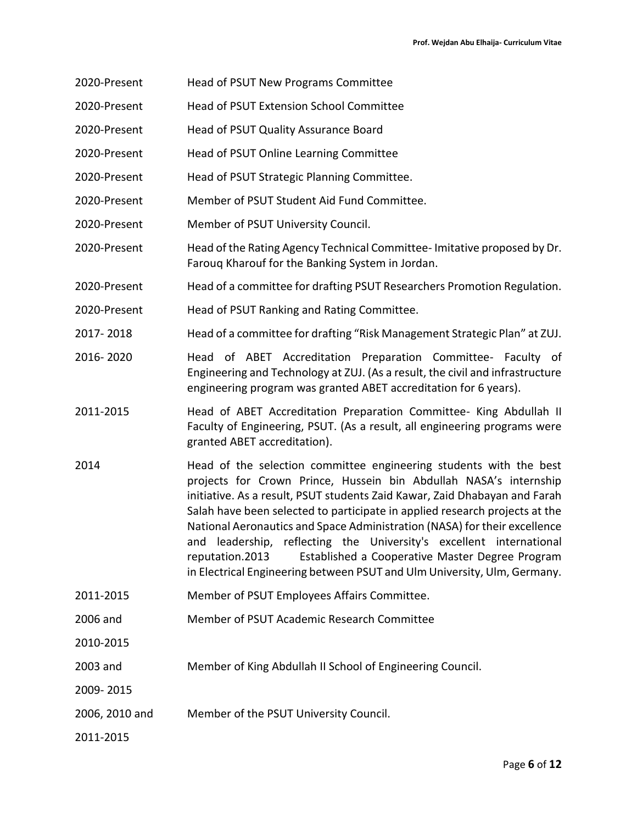- 2020-Present Head of PSUT New Programs Committee
- 2020-Present Head of PSUT Extension School Committee
- 2020-Present Head of PSUT Quality Assurance Board
- 2020-Present Head of PSUT Online Learning Committee
- 2020-Present Head of PSUT Strategic Planning Committee.
- 2020-Present Member of PSUT Student Aid Fund Committee.
- 2020-Present Member of PSUT University Council.
- 2020-Present Head of the Rating Agency Technical Committee- Imitative proposed by Dr. Farouq Kharouf for the Banking System in Jordan.
- 2020-Present Head of a committee for drafting PSUT Researchers Promotion Regulation.
- 2020-Present Head of PSUT Ranking and Rating Committee.
- 2017- 2018 Head of a committee for drafting "Risk Management Strategic Plan" at ZUJ.
- 2016- 2020 Head of ABET Accreditation Preparation Committee- Faculty of Engineering and Technology at ZUJ. (As a result, the civil and infrastructure engineering program was granted ABET accreditation for 6 years).
- 2011-2015 Head of ABET Accreditation Preparation Committee- King Abdullah II Faculty of Engineering, PSUT. (As a result, all engineering programs were granted ABET accreditation).
- 2014 Head of the selection committee engineering students with the best projects for Crown Prince, Hussein bin Abdullah NASA's internship initiative. As a result, PSUT students Zaid Kawar, Zaid Dhabayan and Farah Salah have been selected to participate in applied research projects at the National Aeronautics and Space Administration (NASA) for their excellence and leadership, reflecting the University's excellent international reputation.2013 Established a Cooperative Master Degree Program in Electrical Engineering between PSUT and Ulm University, Ulm, Germany.
- 2011-2015 Member of PSUT Employees Affairs Committee.
- 2006 and Member of PSUT Academic Research Committee
- 2010-2015
- 2003 and Member of King Abdullah II School of Engineering Council.
- 2009- 2015
- 2006, 2010 and Member of the PSUT University Council.

2011-2015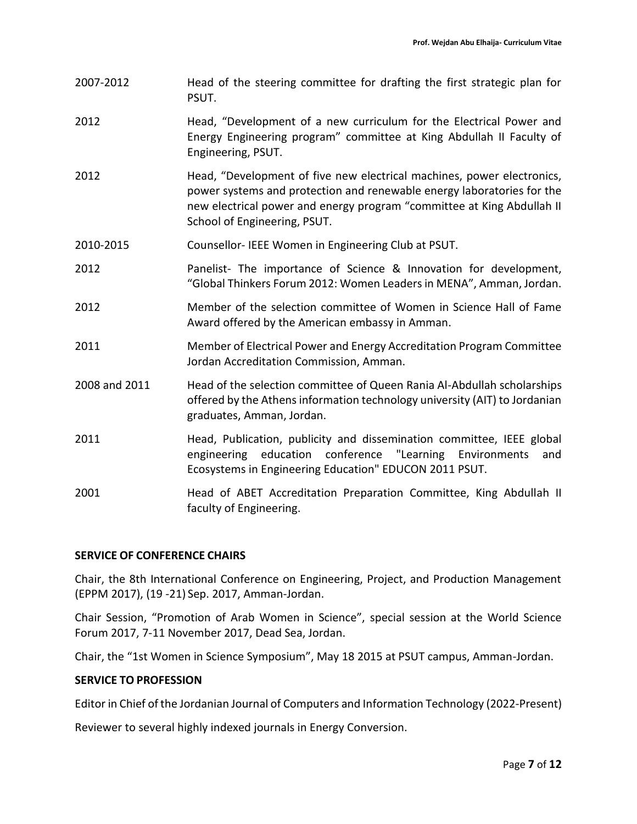- 2007-2012 Head of the steering committee for drafting the first strategic plan for PSUT.
- 2012 Head, "Development of a new curriculum for the Electrical Power and Energy Engineering program" committee at King Abdullah II Faculty of Engineering, PSUT.
- 2012 Head, "Development of five new electrical machines, power electronics, power systems and protection and renewable energy laboratories for the new electrical power and energy program "committee at King Abdullah II School of Engineering, PSUT.
- 2010-2015 Counsellor- IEEE Women in Engineering Club at PSUT.
- 2012 Panelist- The importance of Science & Innovation for development, "Global Thinkers Forum 2012: Women Leaders in MENA", Amman, Jordan.
- 2012 Member of the selection committee of Women in Science Hall of Fame Award offered by the American embassy in Amman.
- 2011 Member of Electrical Power and Energy Accreditation Program Committee Jordan Accreditation Commission, Amman.
- 2008 and 2011 Head of the selection committee of Queen Rania Al-Abdullah scholarships offered by the Athens information technology university (AIT) to Jordanian graduates, Amman, Jordan.
- 2011 Head, Publication, publicity and dissemination committee, IEEE global engineering education conference "Learning Environments and Ecosystems in Engineering Education" EDUCON 2011 PSUT.
- 2001 Head of ABET Accreditation Preparation Committee, King Abdullah II faculty of Engineering.

## **SERVICE OF CONFERENCE CHAIRS**

Chair, the 8th International Conference on Engineering, Project, and Production Management (EPPM 2017), (19 -21) Sep. 2017, Amman-Jordan.

Chair Session, "Promotion of Arab Women in Science", special session at the World Science Forum 2017, 7-11 November 2017, Dead Sea, Jordan.

Chair, the "1st Women in Science Symposium", May 18 2015 at PSUT campus, Amman-Jordan.

## **SERVICE TO PROFESSION**

Editor in Chief of the Jordanian Journal of Computers and Information Technology (2022-Present)

Reviewer to several highly indexed journals in Energy Conversion.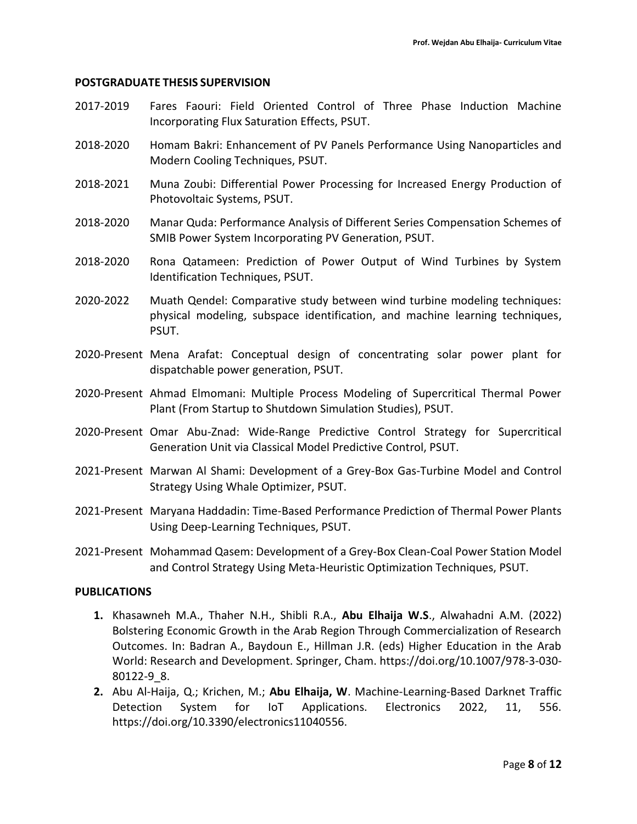## **POSTGRADUATE THESIS SUPERVISION**

- 2017-2019 Fares Faouri: Field Oriented Control of Three Phase Induction Machine Incorporating Flux Saturation Effects, PSUT.
- 2018-2020 Homam Bakri: Enhancement of PV Panels Performance Using Nanoparticles and Modern Cooling Techniques, PSUT.
- 2018-2021 Muna Zoubi: Differential Power Processing for Increased Energy Production of Photovoltaic Systems, PSUT.
- 2018-2020 Manar Quda: Performance Analysis of Different Series Compensation Schemes of SMIB Power System Incorporating PV Generation, PSUT.
- 2018-2020 Rona Qatameen: Prediction of Power Output of Wind Turbines by System Identification Techniques, PSUT.
- 2020-2022 Muath Qendel: Comparative study between wind turbine modeling techniques: physical modeling, subspace identification, and machine learning techniques, PSUT.
- 2020-Present Mena Arafat: Conceptual design of concentrating solar power plant for dispatchable power generation, PSUT.
- 2020-Present Ahmad Elmomani: Multiple Process Modeling of Supercritical Thermal Power Plant (From Startup to Shutdown Simulation Studies), PSUT.
- 2020-Present Omar Abu-Znad: Wide-Range Predictive Control Strategy for Supercritical Generation Unit via Classical Model Predictive Control, PSUT.
- 2021-Present Marwan Al Shami: Development of a Grey-Box Gas-Turbine Model and Control Strategy Using Whale Optimizer, PSUT.
- 2021-Present Maryana Haddadin: Time-Based Performance Prediction of Thermal Power Plants Using Deep-Learning Techniques, PSUT.
- 2021-Present Mohammad Qasem: Development of a Grey-Box Clean-Coal Power Station Model and Control Strategy Using Meta-Heuristic Optimization Techniques, PSUT.

### **PUBLICATIONS**

- **1.** Khasawneh M.A., Thaher N.H., Shibli R.A., **Abu Elhaija W.S**., Alwahadni A.M. (2022) Bolstering Economic Growth in the Arab Region Through Commercialization of Research Outcomes. In: Badran A., Baydoun E., Hillman J.R. (eds) Higher Education in the Arab World: Research and Development. Springer, Cham. https://doi.org/10.1007/978-3-030- 80122-9\_8.
- **2.** Abu Al-Haija, Q.; Krichen, M.; **Abu Elhaija, W**. Machine-Learning-Based Darknet Traffic Detection System for IoT Applications. Electronics 2022, 11, 556. https://doi.org/10.3390/electronics11040556.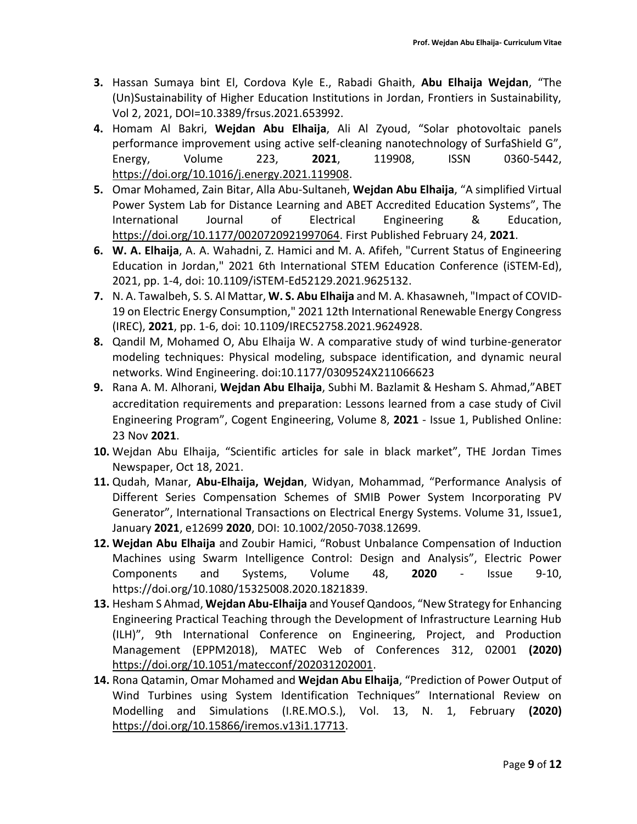- **3.** Hassan Sumaya bint El, Cordova Kyle E., Rabadi Ghaith, **Abu Elhaija Wejdan**, "The (Un)Sustainability of Higher Education Institutions in Jordan, Frontiers in Sustainability, Vol 2, 2021, DOI=10.3389/frsus.2021.653992.
- **4.** Homam Al Bakri, **Wejdan Abu Elhaija**, Ali Al Zyoud, "Solar photovoltaic panels performance improvement using active self-cleaning nanotechnology of SurfaShield G", Energy, Volume 223, **2021**, 119908, ISSN 0360-5442, [https://doi.org/10.1016/j.energy.2021.119908.](https://doi.org/10.1016/j.energy.2021.119908)
- **5.** Omar Mohamed, Zain Bitar, Alla Abu-Sultaneh, **Wejdan Abu Elhaija**, "A simplified Virtual Power System Lab for Distance Learning and ABET Accredited Education Systems", The International Journal of Electrical Engineering & Education, [https://doi.org/10.1177/0020720921997064.](https://doi.org/10.1177/0020720921997064) First Published February 24, **2021**.
- **6. W. A. Elhaija**, A. A. Wahadni, Z. Hamici and M. A. Afifeh, "Current Status of Engineering Education in Jordan," 2021 6th International STEM Education Conference (iSTEM-Ed), 2021, pp. 1-4, doi: 10.1109/iSTEM-Ed52129.2021.9625132.
- **7.** N. A. Tawalbeh, S. S. Al Mattar, **W. S. Abu Elhaija** and M. A. Khasawneh, "Impact of COVID-19 on Electric Energy Consumption," 2021 12th International Renewable Energy Congress (IREC), **2021**, pp. 1-6, doi: 10.1109/IREC52758.2021.9624928.
- **8.** Qandil M, Mohamed O, Abu Elhaija W. A comparative study of wind turbine-generator modeling techniques: Physical modeling, subspace identification, and dynamic neural networks. Wind Engineering. doi:10.1177/0309524X211066623
- **9.** Rana A. M. Alhorani, **Wejdan Abu Elhaija**, Subhi M. Bazlamit & Hesham S. Ahmad,"ABET accreditation requirements and preparation: Lessons learned from a case study of Civil Engineering Program", Cogent Engineering, Volume 8, **2021** - Issue 1, Published Online: 23 Nov **2021**.
- **10.** Wejdan Abu Elhaija, "Scientific articles for sale in black market", THE Jordan Times Newspaper, Oct 18, 2021.
- **11.** Qudah, Manar, **Abu-Elhaija, Wejdan**, Widyan, Mohammad, "Performance Analysis of Different Series Compensation Schemes of SMIB Power System Incorporating PV Generator", International Transactions on Electrical Energy Systems. Volume 31, Issue1, January **2021**, e12699 **2020**, DOI: 10.1002/2050-7038.12699.
- **12. Wejdan Abu Elhaija** and Zoubir Hamici, "Robust Unbalance Compensation of Induction Machines using Swarm Intelligence Control: Design and Analysis", Electric Power Components and Systems, Volume 48, **2020** - Issue 9-10, https://doi.org/10.1080/15325008.2020.1821839.
- **13.** Hesham S Ahmad, **Wejdan Abu-Elhaija** and Yousef Qandoos, "New Strategy for Enhancing Engineering Practical Teaching through the Development of Infrastructure Learning Hub (ILH)", 9th International Conference on Engineering, Project, and Production Management (EPPM2018), MATEC Web of Conferences 312, 02001 **(2020)** [https://doi.org/10.1051/matecconf/202031202001.](https://doi.org/10.1051/matecconf/202031202001)
- **14.** Rona Qatamin, Omar Mohamed and **Wejdan Abu Elhaija**, "Prediction of Power Output of Wind Turbines using System Identification Techniques" International Review on Modelling and Simulations (I.RE.MO.S.), Vol. 13, N. 1, February **(2020)** [https://doi.org/10.15866/iremos.v13i1.17713.](https://doi.org/10.15866/iremos.v13i1.17713)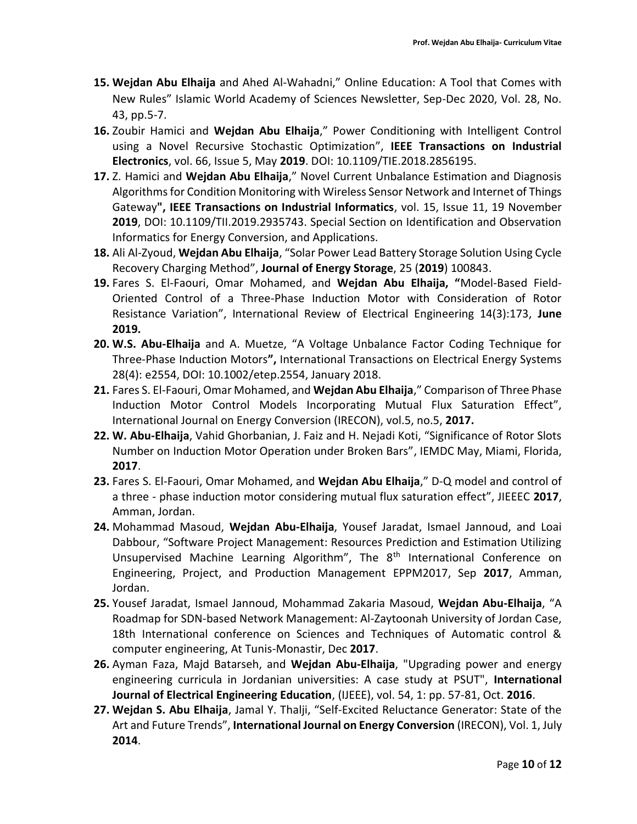- **15. Wejdan Abu Elhaija** and Ahed Al-Wahadni," Online Education: A Tool that Comes with New Rules" Islamic World Academy of Sciences Newsletter, Sep-Dec 2020, Vol. 28, No. 43, pp.5-7.
- **16.** Zoubir Hamici and **Wejdan Abu Elhaija**," Power Conditioning with Intelligent Control using a Novel Recursive Stochastic Optimization", **IEEE Transactions on Industrial Electronics**, vol. 66, Issue 5, May **2019**. DOI: 10.1109/TIE.2018.2856195.
- **17.** Z. Hamici and **Wejdan Abu Elhaija**," Novel Current Unbalance Estimation and Diagnosis Algorithms for Condition Monitoring with Wireless Sensor Network and Internet of Things Gateway**", IEEE Transactions on Industrial Informatics**, vol. 15, Issue 11, 19 November **2019**, DOI: 10.1109/TII.2019.2935743. Special Section on Identification and Observation Informatics for Energy Conversion, and Applications.
- **18.** Ali Al-Zyoud, **Wejdan Abu Elhaija**, "Solar Power Lead Battery Storage Solution Using Cycle Recovery Charging Method", **Journal of Energy Storage**, 25 (**2019**) 100843.
- **19.** Fares S. El-Faouri, Omar Mohamed, and **Wejdan Abu Elhaija, "**Model-Based Field-Oriented Control of a Three-Phase Induction Motor with Consideration of Rotor Resistance Variation", International Review of Electrical Engineering 14(3):173, **June 2019.**
- **20. W.S. Abu-Elhaija** and A. Muetze, "A Voltage Unbalance Factor Coding Technique for Three-Phase Induction Motors**",** International Transactions on Electrical Energy Systems 28(4): e2554, DOI: 10.1002/etep.2554, January 2018.
- **21.** Fares S. El-Faouri, Omar Mohamed, and **Wejdan Abu Elhaija**," Comparison of Three Phase Induction Motor Control Models Incorporating Mutual Flux Saturation Effect", International Journal on Energy Conversion (IRECON), vol.5, no.5, **2017.**
- **22. W. Abu-Elhaija**, Vahid Ghorbanian, J. Faiz and H. Nejadi Koti, "Significance of Rotor Slots Number on Induction Motor Operation under Broken Bars", IEMDC May, Miami, Florida, **2017**.
- **23.** Fares S. El-Faouri, Omar Mohamed, and **Wejdan Abu Elhaija**," D-Q model and control of a three - phase induction motor considering mutual flux saturation effect", JIEEEC **2017**, Amman, Jordan.
- **24.** Mohammad Masoud, **Wejdan Abu-Elhaija**, Yousef Jaradat, Ismael Jannoud, and Loai Dabbour, "Software Project Management: Resources Prediction and Estimation Utilizing Unsupervised Machine Learning Algorithm", The 8<sup>th</sup> International Conference on Engineering, Project, and Production Management EPPM2017, Sep **2017**, Amman, Jordan.
- **25.** Yousef Jaradat, Ismael Jannoud, Mohammad Zakaria Masoud, **Wejdan Abu-Elhaija**, "A Roadmap for SDN-based Network Management: Al-Zaytoonah University of Jordan Case, 18th International conference on Sciences and Techniques of Automatic control & computer engineering, At Tunis-Monastir, Dec **2017**.
- **26.** Ayman Faza, Majd Batarseh, and **Wejdan Abu-Elhaija**, "Upgrading power and energy engineering curricula in Jordanian universities: A case study at PSUT", **International Journal of Electrical Engineering Education**, (IJEEE), vol. 54, 1: pp. 57-81, Oct. **2016**.
- **27. Wejdan S. Abu Elhaija**, Jamal Y. Thalji, "Self-Excited Reluctance Generator: State of the Art and Future Trends", **International Journal on Energy Conversion** (IRECON), Vol. 1, July **2014**.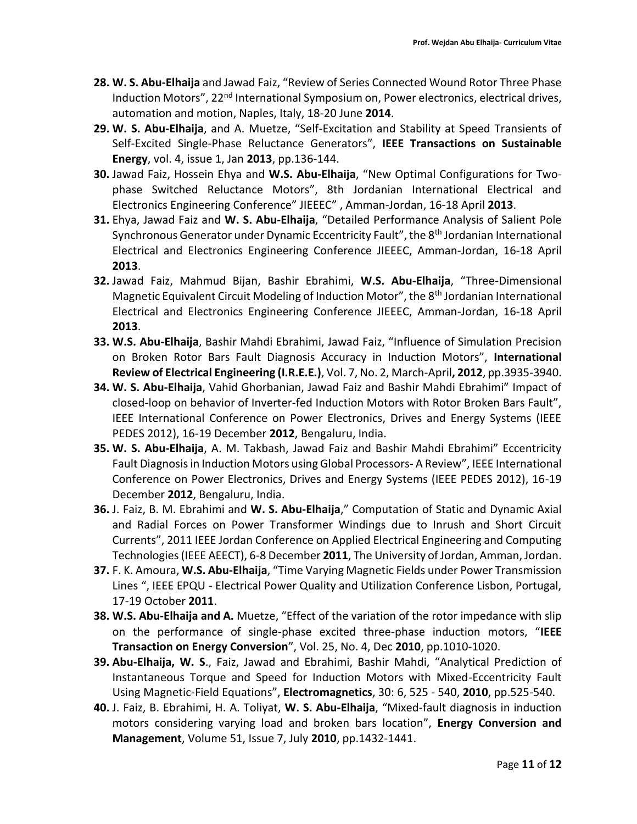- **28. W. S. Abu-Elhaija** and Jawad Faiz, "Review of Series Connected Wound Rotor Three Phase Induction Motors", 22<sup>nd</sup> International Symposium on, Power electronics, electrical drives, automation and motion, Naples, Italy, 18-20 June **2014**.
- **29. W. S. Abu-Elhaija**, and A. Muetze, "Self-Excitation and Stability at Speed Transients of Self-Excited Single-Phase Reluctance Generators", **IEEE Transactions on Sustainable Energy**, vol. 4, issue 1, Jan **2013**, pp.136-144.
- **30.** Jawad Faiz, Hossein Ehya and **W.S. Abu-Elhaija**, "New Optimal Configurations for Twophase Switched Reluctance Motors", 8th Jordanian International Electrical and Electronics Engineering Conference" JIEEEC" , Amman-Jordan, 16-18 April **2013**.
- **31.** Ehya, Jawad Faiz and **W. S. Abu-Elhaija**, "Detailed Performance Analysis of Salient Pole Synchronous Generator under Dynamic Eccentricity Fault", the 8<sup>th</sup> Jordanian International Electrical and Electronics Engineering Conference JIEEEC, Amman-Jordan, 16-18 April **2013**.
- **32.** Jawad Faiz, Mahmud Bijan, Bashir Ebrahimi, **W.S. Abu-Elhaija**, "Three-Dimensional Magnetic Equivalent Circuit Modeling of Induction Motor", the 8<sup>th</sup> Jordanian International Electrical and Electronics Engineering Conference JIEEEC, Amman-Jordan, 16-18 April **2013**.
- **33. W.S. Abu-Elhaija**, Bashir Mahdi Ebrahimi, Jawad Faiz, "Influence of Simulation Precision on Broken Rotor Bars Fault Diagnosis Accuracy in Induction Motors", **International Review of Electrical Engineering (I.R.E.E.)**, Vol. 7, No. 2, March-April**, 2012**, pp.3935-3940.
- **34. W. S. Abu-Elhaija**, Vahid Ghorbanian, Jawad Faiz and Bashir Mahdi Ebrahimi" Impact of closed-loop on behavior of Inverter-fed Induction Motors with Rotor Broken Bars Fault", IEEE International Conference on Power Electronics, Drives and Energy Systems (IEEE PEDES 2012), 16-19 December **2012**, Bengaluru, India.
- **35. W. S. Abu-Elhaija**, A. M. Takbash, Jawad Faiz and Bashir Mahdi Ebrahimi" Eccentricity Fault Diagnosis in Induction Motors using Global Processors- A Review", IEEE International Conference on Power Electronics, Drives and Energy Systems (IEEE PEDES 2012), 16-19 December **2012**, Bengaluru, India.
- **36.** J. Faiz, B. M. Ebrahimi and **W. S. Abu-Elhaija**," Computation of Static and Dynamic Axial and Radial Forces on Power Transformer Windings due to Inrush and Short Circuit Currents", 2011 IEEE Jordan Conference on Applied Electrical Engineering and Computing Technologies (IEEE AEECT), 6-8 December **2011**, The University of Jordan, Amman, Jordan.
- **37.** F. K. Amoura, **W.S. Abu-Elhaija**, "Time Varying Magnetic Fields under Power Transmission Lines ", IEEE EPQU - Electrical Power Quality and Utilization Conference Lisbon, Portugal, 17-19 October **2011**.
- **38. W.S. Abu-Elhaija and A.** Muetze, "Effect of the variation of the rotor impedance with slip on the performance of single-phase excited three-phase induction motors, "**IEEE Transaction on Energy Conversion**", Vol. 25, No. 4, Dec **2010**, pp.1010-1020.
- **39. Abu-Elhaija, W. S**., Faiz, Jawad and Ebrahimi, Bashir Mahdi, "Analytical Prediction of Instantaneous Torque and Speed for Induction Motors with Mixed-Eccentricity Fault Using Magnetic-Field Equations", **Electromagnetics**, 30: 6, 525 - 540, **2010**, pp.525-540.
- **40.** J. Faiz, B. Ebrahimi, H. A. Toliyat, **W. S. Abu-Elhaija**, "Mixed-fault diagnosis in induction motors considering varying load and broken bars location", **Energy Conversion and Management**, Volume 51, Issue 7, July **2010**, pp.1432-1441.